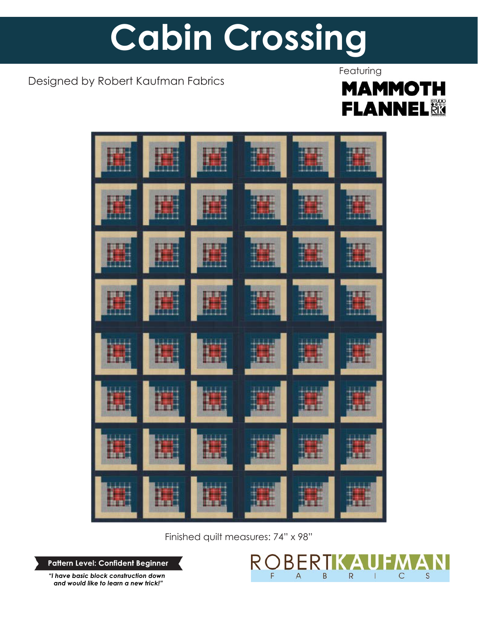# **Cabin Crossing**

## Designed by Robert Kaufman Fabrics

## **Featuring MAMMOTH FLANNEL&**



Finished quilt measures: 74" x 98"

**Pattern Level: Confident Beginner**

*"I have basic block construction down and would like to learn a new trick!"*

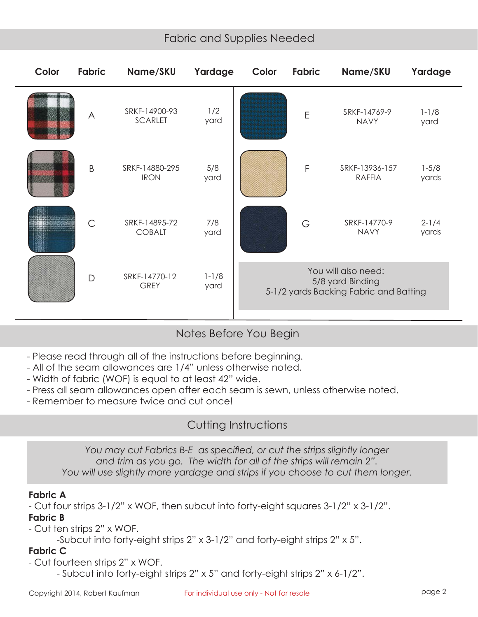## Fabric and Supplies Needed

| Color | Fabric       | Name/SKU                        | Yardage           | Color                                                                             | Fabric | Name/SKU                        | Yardage            |
|-------|--------------|---------------------------------|-------------------|-----------------------------------------------------------------------------------|--------|---------------------------------|--------------------|
|       | $\bigwedge$  | SRKF-14900-93<br><b>SCARLET</b> | 1/2<br>yard       |                                                                                   | E      | SRKF-14769-9<br><b>NAVY</b>     | $1 - 1/8$<br>yard  |
|       | B            | SRKF-14880-295<br><b>IRON</b>   | 5/8<br>yard       |                                                                                   | F      | SRKF-13936-157<br><b>RAFFIA</b> | $1 - 5/8$<br>yards |
|       | $\mathsf{C}$ | SRKF-14895-72<br><b>COBALT</b>  | 7/8<br>yard       |                                                                                   | G      | SRKF-14770-9<br><b>NAVY</b>     | $2 - 1/4$<br>yards |
|       | $\mathsf{D}$ | SRKF-14770-12<br><b>GREY</b>    | $1 - 1/8$<br>yard | You will also need:<br>5/8 yard Binding<br>5-1/2 yards Backing Fabric and Batting |        |                                 |                    |

Notes Before You Begin

- Please read through all of the instructions before beginning.
- All of the seam allowances are 1/4" unless otherwise noted.
- Width of fabric (WOF) is equal to at least 42" wide.
- Press all seam allowances open after each seam is sewn, unless otherwise noted.
- Remember to measure twice and cut once!

### Cutting Instructions

*You may cut Fabrics B-E as specified, or cut the strips slightly longer and trim as you go. The width for all of the strips will remain 2". You will use slightly more yardage and strips if you choose to cut them longer.*

#### **Fabric A**

- Cut four strips 3-1/2" x WOF, then subcut into forty-eight squares 3-1/2" x 3-1/2". **Fabric B**

- Cut ten strips 2" x WOF.

-Subcut into forty-eight strips 2" x 3-1/2" and forty-eight strips 2" x 5".

#### **Fabric C**

- Cut fourteen strips 2" x WOF.

- Subcut into forty-eight strips 2" x 5" and forty-eight strips 2" x 6-1/2".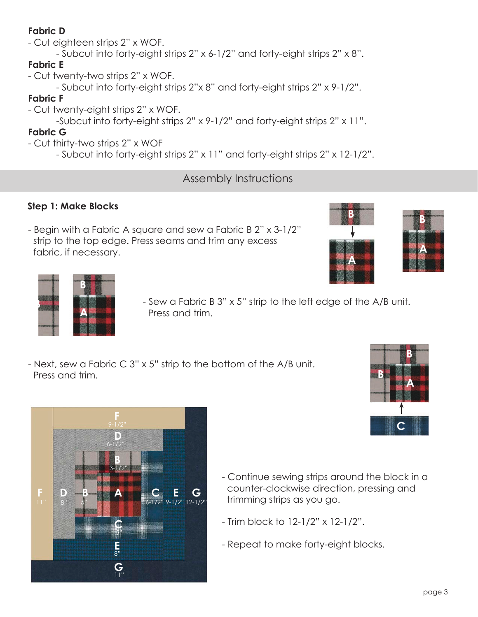#### **Fabric D**

- Cut eighteen strips 2" x WOF.

- Subcut into forty-eight strips 2" x 6-1/2" and forty-eight strips 2" x 8".

## **Fabric E**

- Cut twenty-two strips 2" x WOF.

- Subcut into forty-eight strips 2"x 8" and forty-eight strips 2" x 9-1/2".

#### **Fabric F**

- Cut twenty-eight strips 2" x WOF.

-Subcut into forty-eight strips 2" x 9-1/2" and forty-eight strips 2" x 11".

## **Fabric G**

- Cut thirty-two strips 2" x WOF

- Subcut into forty-eight strips 2" x 11" and forty-eight strips 2" x 12-1/2".

## Assembly Instructions

## **Step 1: Make Blocks**

- Begin with a Fabric A square and sew a Fabric B 2" x 3-1/2" strip to the top edge. Press seams and trim any excess fabric, if necessary.







- Sew a Fabric B 3" x 5" strip to the left edge of the A/B unit. Press and trim.
- Next, sew a Fabric C 3" x 5" strip to the bottom of the A/B unit. Press and trim.



- Continue sewing strips around the block in a counter-clockwise direction, pressing and trimming strips as you go.
- Trim block to 12-1/2" x 12-1/2".
- Repeat to make forty-eight blocks.